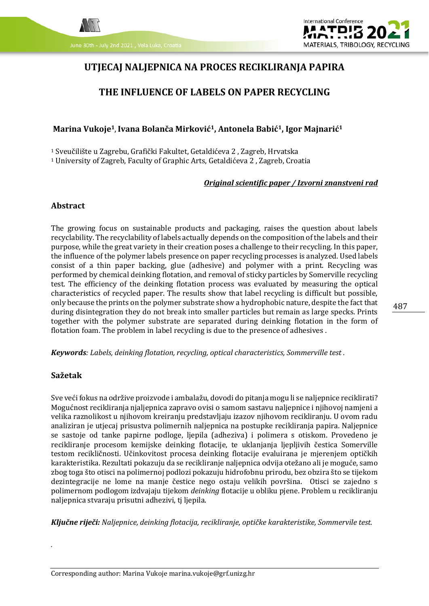



# **UTJECAJ NALJEPNICA NA PROCES RECIKLIRANJA PAPIRA**

# **THE INFLUENCE OF LABELS ON PAPER RECYCLING**

### **Marina Vukoje1**,**Ivana Bolanča Mirković1, Antonela Babić1, Igor Majnarić<sup>1</sup>**

<sup>1</sup> Sveučilište u Zagrebu, Grafički Fakultet, Getaldićeva 2 , Zagreb, Hrvatska

<sup>1</sup> University of Zagreb, Faculty of Graphic Arts, Getaldićeva 2 , Zagreb, Croatia

#### *Original scientific paper / Izvorni znanstveni rad*

#### **Abstract**

The growing focus on sustainable products and packaging, raises the question about labels recyclability. The recyclability of labels actually depends on the composition of the labels and their purpose, while the great variety in their creation poses a challenge to their recycling. In this paper, the influence of the polymer labels presence on paper recycling processes is analyzed. Used labels consist of a thin paper backing, glue (adhesive) and polymer with a print. Recycling was performed by chemical deinking flotation, and removal of sticky particles by Somerville recycling test. The efficiency of the deinking flotation process was evaluated by measuring the optical characteristics of recycled paper. The results show that label recycling is difficult but possible, only because the prints on the polymer substrate show a hydrophobic nature, despite the fact that during disintegration they do not break into smaller particles but remain as large specks. Prints together with the polymer substrate are separated during deinking flotation in the form of flotation foam. The problem in label recycling is due to the presence of adhesives .

*Keywords: Labels, deinking flotation, recycling, optical characteristics, Sommerville test .*

#### **Sažetak**

*.*

Sve veći fokus na održive proizvode i ambalažu, dovodi do pitanja mogu li se naljepnice reciklirati? Mogućnost recikliranja njaljepnica zapravo ovisi o samom sastavu naljepnice i njihovoj namjeni a velika raznolikost u njihovom kreiranju predstavljaju izazov njihovom recikliranju. U ovom radu analiziran je utjecaj prisustva polimernih naljepnica na postupke recikliranja papira. Naljepnice se sastoje od tanke papirne podloge, ljepila (adheziva) i polimera s otiskom. Provedeno je recikliranje procesom kemijske deinking flotacije, te uklanjanja ljepljivih čestica Somerville testom recikličnosti. Učinkovitost procesa deinking flotacije evaluirana je mjerenjem optičkih karakteristika. Rezultati pokazuju da se recikliranje naljepnica odvija otežano ali je moguće, samo zbog toga što otisci na polimernoj podlozi pokazuju hidrofobnu prirodu, bez obzira što se tijekom dezintegracije ne lome na manje čestice nego ostaju velikih površina. Otisci se zajedno s polimernom podlogom izdvajaju tijekom *deinking* flotacije u obliku pjene. Problem u recikliranju naljepnica stvaraju prisutni adhezivi, tj ljepila.

*Ključne riječi: Naljepnice, deinking flotacija, recikliranje, optičke karakteristike, Sommervile test.*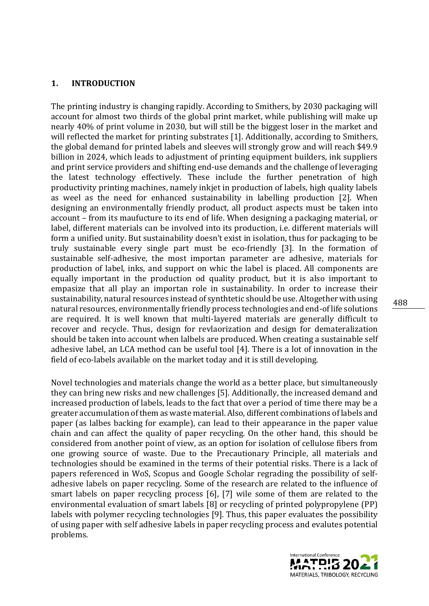### **1. INTRODUCTION**

The printing industry is changing rapidly. According to Smithers, by 2030 packaging will account for almost two thirds of the global print market, while publishing will make up nearly 40% of print volume in 2030, but will still be the biggest loser in the market and will reflected the market for printing substrates [1]. Additionally, according to Smithers, the global demand for printed labels and sleeves will strongly grow and will reach \$49.9 billion in 2024, which leads to adjustment of printing equipment builders, ink suppliers and print service providers and shifting end-use demands and the challenge of leveraging the latest technology effectively. These include the further penetration of high productivity printing machines, namely inkjet in production of labels, high quality labels as weel as the need for enhanced sustainability in labelling production [2]. When designing an environmentally friendly product, all product aspects must be taken into account – from its maufucture to its end of life. When designing a packaging material, or label, different materials can be involved into its production, i.e. different materials will form a unified unity. But sustainability doesn't exist in isolation, thus for packaging to be truly sustainable every single part must be eco-friendly [3]. In the formation of sustainable self-adhesive, the most importan parameter are adhesive, materials for production of label, inks, and support on whic the label is placed. All components are equally important in the production od quality product, but it is also important to empasize that all play an importan role in sustainability. In order to increase their sustainability, natural resources instead of synthtetic should be use. Altogether with using natural resources, environmentally friendly process technologies and end-of life solutions are required. It is well known that multi-layered materials are generally difficult to recover and recycle. Thus, design for revlaorization and design for demateralization should be taken into account when lalbels are produced. When creating a sustainable self adhesive label, an LCA method can be useful tool [4]. There is a lot of innovation in the field of eco-labels available on the market today and it is still developing.

Novel technologies and materials change the world as a better place, but simultaneously they can bring new risks and new challenges [5]. Additionally, the increased demand and increased production of labels, leads to the fact that over a period of time there may be a greater accumulation of them as waste material. Also, different combinations of labels and paper (as lalbes backing for example), can lead to their appearance in the paper value chain and can affect the quality of paper recycling. On the other hand, this should be considered from another point of view, as an option for isolation of cellulose fibers from one growing source of waste. Due to the Precautionary Principle, all materials and technologies should be examined in the terms of their potential risks. There is a lack of papers referenced in WoS, Scopus and Google Scholar regrading the possibility of selfadhesive labels on paper recycling. Some of the research are related to the influence of smart labels on paper recycling process [6], [7] wile some of them are related to the environmental evaluation of smart labels [8] or recycling of printed polypropylene (PP) labels with polymer recycling technologies [9]. Thus, this paper evaluates the possibility of using paper with self adhesive labels in paper recycling process and evalutes potential problems.

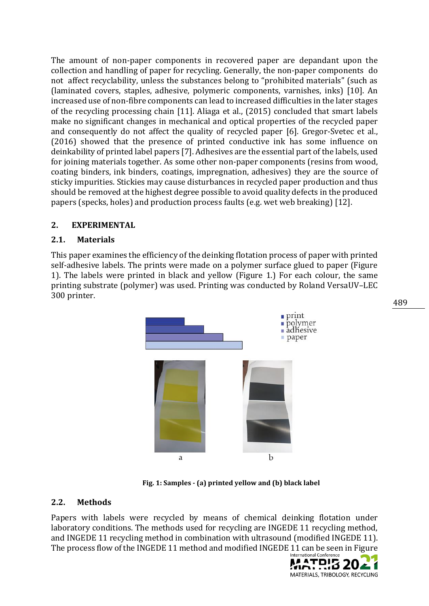The amount of non-paper components in recovered paper are depandant upon the collection and handling of paper for recycling. Generally, the non-paper components do not affect recyclability, unless the substances belong to "prohibited materials" (such as (laminated covers, staples, adhesive, polymeric components, varnishes, inks) [10]. An increased use of non-fibre components can lead to increased difficulties in the later stages of the recycling processing chain [11]. Aliaga et al., (2015) concluded that smart labels make no significant changes in mechanical and optical properties of the recycled paper and consequently do not affect the quality of recycled paper [6]. Gregor-Svetec et al., (2016) showed that the presence of printed conductive ink has some influence on deinkability of printed label papers [7]. Adhesives are the essential part of the labels, used for joining materials together. As some other non-paper components (resins from wood, coating binders, ink binders, coatings, impregnation, adhesives) they are the source of sticky impurities. Stickies may cause disturbances in recycled paper production and thus should be removed at the highest degree possible to avoid quality defects in the produced papers (specks, holes) and production process faults (e.g. wet web breaking) [12].

# **2. EXPERIMENTAL**

# **2.1. Materials**

This paper examines the efficiency of the deinking flotation process of paper with printed self-adhesive labels. The prints were made on a polymer surface glued to paper (Figure 1). The labels were printed in black and yellow (Figure 1.) For each colour, the same printing substrate (polymer) was used. Printing was conducted by Roland VersaUV–LEC 300 printer.



**Fig. 1: Samples - (a) printed yellow and (b) black label**

# **2.2. Methods**

Papers with labels were recycled by means of chemical deinking flotation under laboratory conditions. The methods used for recycling are INGEDE 11 recycling method, and INGEDE 11 recycling method in combination with ultrasound (modified INGEDE 11). The process flow of the INGEDE 11 method and modified INGEDE 11 can be seen in Figure

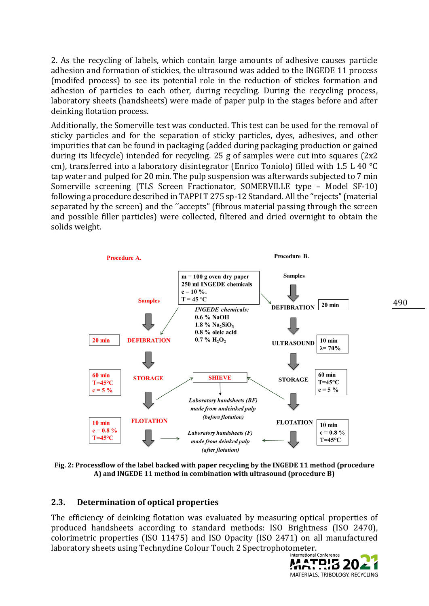2. As the recycling of labels, which contain large amounts of adhesive causes particle adhesion and formation of stickies, the ultrasound was added to the INGEDE 11 process (modifed process) to see its potential role in the reduction of stickes formation and adhesion of particles to each other, during recycling. During the recycling process, laboratory sheets (handsheets) were made of paper pulp in the stages before and after deinking flotation process.

Additionally, the Somerville test was conducted. This test can be used for the removal of sticky particles and for the separation of sticky particles, dyes, adhesives, and other impurities that can be found in packaging (added during packaging production or gained during its lifecycle) intended for recycling. 25 g of samples were cut into squares (2x2 cm), transferred into a laboratory disintegrator (Enrico Toniolo) filled with 1.5 L 40 °C tap water and pulped for 20 min. The pulp suspension was afterwards subjected to 7 min Somerville screening (TLS Screen Fractionator, SOMERVILLE type – Model SF-10) following a procedure described in TAPPI T 275 sp-12 Standard. All the ''rejects" (material separated by the screen) and the ''accepts" (fibrous material passing through the screen and possible filler particles) were collected, filtered and dried overnight to obtain the solids weight.



**Fig. 2: Processflow of the label backed with paper recycling by the INGEDE 11 method (procedure A) and INGEDE 11 method in combination with ultrasound (procedure B)**

### **2.3. Determination of optical properties**

The efficiency of deinking flotation was evaluated by measuring optical properties of produced handsheets according to standard methods: ISO Brightness (ISO 2470), colorimetric properties (ISO 11475) and ISO Opacity (ISO 2471) on all manufactured laboratory sheets using Technydine Colour Touch 2 Spectrophotometer.

**MATPIS 2021** MATERIALS, TRIBOLOGY, RECYCLING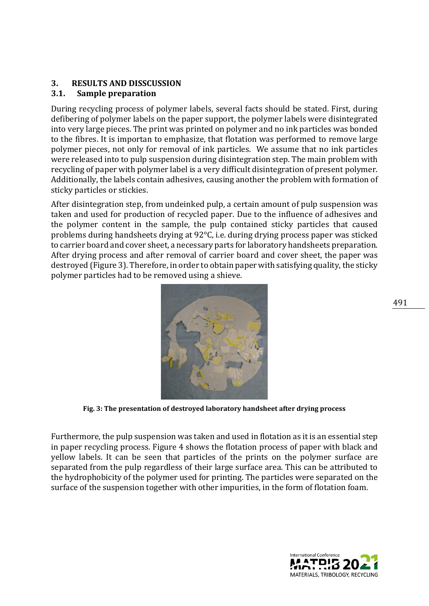## **3. RESULTS AND DISSCUSSION**

## **3.1. Sample preparation**

During recycling process of polymer labels, several facts should be stated. First, during defibering of polymer labels on the paper support, the polymer labels were disintegrated into very large pieces. The print was printed on polymer and no ink particles was bonded to the fibres. It is importan to emphasize, that flotation was performed to remove large polymer pieces, not only for removal of ink particles. We assume that no ink particles were released into to pulp suspension during disintegration step. The main problem with recycling of paper with polymer label is a very difficult disintegration of present polymer. Additionally, the labels contain adhesives, causing another the problem with formation of sticky particles or stickies.

After disintegration step, from undeinked pulp, a certain amount of pulp suspension was taken and used for production of recycled paper. Due to the influence of adhesives and the polymer content in the sample, the pulp contained sticky particles that caused problems during handsheets drying at 92°C, i.e. during drying process paper was sticked to carrier board and cover sheet, a necessary parts for laboratory handsheets preparation. After drying process and after removal of carrier board and cover sheet, the paper was destroyed (Figure 3). Therefore, in order to obtain paper with satisfying quality, the sticky polymer particles had to be removed using a shieve.



**Fig. 3: The presentation of destroyed laboratory handsheet after drying process**

Furthermore, the pulp suspension was taken and used in flotation as it is an essential step in paper recycling process. Figure 4 shows the flotation process of paper with black and yellow labels. It can be seen that particles of the prints on the polymer surface are separated from the pulp regardless of their large surface area. This can be attributed to the hydrophobicity of the polymer used for printing. The particles were separated on the surface of the suspension together with other impurities, in the form of flotation foam.

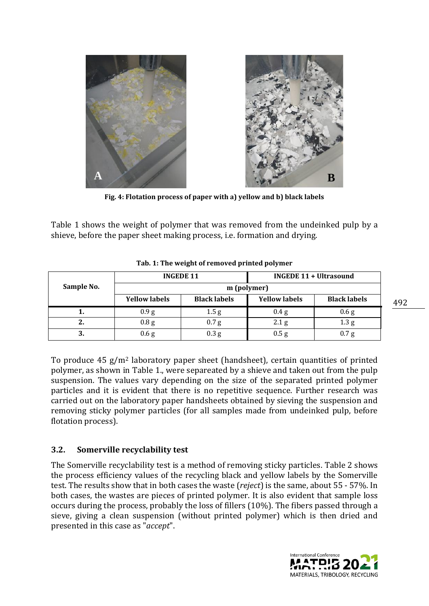

**Fig. 4: Flotation process of paper with a) yellow and b) black labels**

Table 1 shows the weight of polymer that was removed from the undeinked pulp by a shieve, before the paper sheet making process, i.e. formation and drying.

|            | <b>INGEDE 11</b>     |                     | <b>INGEDE 11 + Ultrasound</b> |                     |
|------------|----------------------|---------------------|-------------------------------|---------------------|
| Sample No. | m (polymer)          |                     |                               |                     |
|            | <b>Yellow labels</b> | <b>Black labels</b> | <b>Yellow labels</b>          | <b>Black labels</b> |
|            | 0.9 <sub>g</sub>     | 1.5 <sub>g</sub>    | 0.4 <sub>g</sub>              | 0.6 g               |
| 2.         | 0.8 <sub>g</sub>     | 0.7 <sub>g</sub>    | 2.1 <sub>g</sub>              | 1.3 <sub>g</sub>    |
| 2<br>ა.    | 0.6 g                | 0.3 <sub>g</sub>    | 0.5 <sub>g</sub>              | 0.7 <sub>g</sub>    |

| Tab. 1: The weight of removed printed polymer |  |  |
|-----------------------------------------------|--|--|
|-----------------------------------------------|--|--|

To produce  $45$  g/m<sup>2</sup> laboratory paper sheet (handsheet), certain quantities of printed polymer, as shown in Table 1., were separeated by a shieve and taken out from the pulp suspension. The values vary depending on the size of the separated printed polymer particles and it is evident that there is no repetitive sequence. Further research was carried out on the laboratory paper handsheets obtained by sieving the suspension and removing sticky polymer particles (for all samples made from undeinked pulp, before flotation process).

# **3.2. Somerville recyclability test**

The Somerville recyclability test is a method of removing sticky particles. Table 2 shows the process efficiency values of the recycling black and yellow labels by the Somerville test. The results show that in both cases the waste (*reject*) is the same, about 55 - 57%. In both cases, the wastes are pieces of printed polymer. It is also evident that sample loss occurs during the process, probably the loss of fillers (10%). The fibers passed through a sieve, giving a clean suspension (without printed polymer) which is then dried and presented in this case as "*accept*".

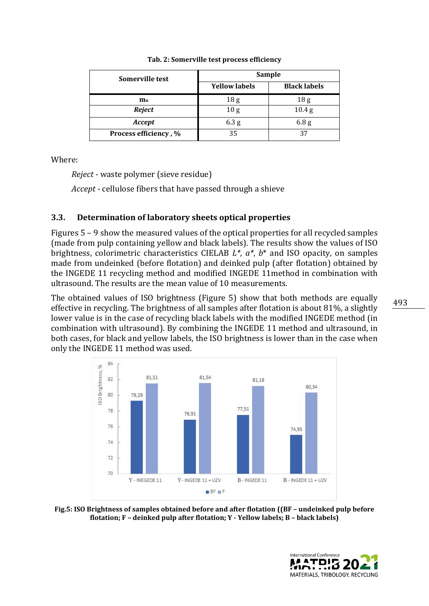| Somerville test       | Sample               |                     |  |
|-----------------------|----------------------|---------------------|--|
|                       | <b>Yellow labels</b> | <b>Black labels</b> |  |
| $m_{\rm u}$           | 18 <sub>g</sub>      | 18 <sub>g</sub>     |  |
| Reject                | 10 <sub>g</sub>      | 10.4 <sub>g</sub>   |  |
| Accept                | 6.3 <sub>g</sub>     | 6.8 <sub>g</sub>    |  |
| Process efficiency, % | 35                   | 37                  |  |

#### **Tab. 2: Somerville test process efficiency**

Where:

*Reject* - waste polymer (sieve residue)

*Accept* - cellulose fibers that have passed through a shieve

## **3.3. Determination of laboratory sheets optical properties**

Figures 5 – 9 show the measured values of the optical properties for all recycled samples (made from pulp containing yellow and black labels). The results show the values of ISO brightness, colorimetric characteristics CIELAB *L\**, *a\**, *b*\* and ISO opacity, on samples made from undeinked (before flotation) and deinked pulp (after flotation) obtained by the INGEDE 11 recycling method and modified INGEDE 11method in combination with ultrasound. The results are the mean value of 10 measurements.

The obtained values of ISO brightness (Figure 5) show that both methods are equally effective in recycling. The brightness of all samples after flotation is about 81%, a slightly lower value is in the case of recycling black labels with the modified INGEDE method (in combination with ultrasound). By combining the INGEDE 11 method and ultrasound, in both cases, for black and yellow labels, the ISO brightness is lower than in the case when only the INGEDE 11 method was used.



**Fig.5: ISO Brightness of samples obtained before and after flotation ((BF – undeinked pulp before flotation; F – deinked pulp after flotation; Y - Yellow labels; B – black labels)**

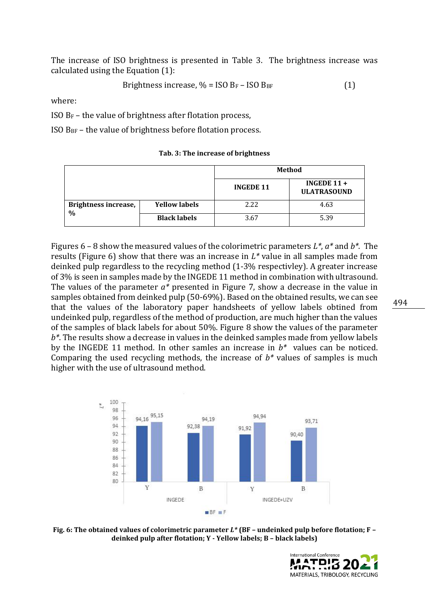The increase of ISO brightness is presented in Table 3. The brightness increase was calculated using the Equation (1):

$$
Brightness increase, \% = ISO B_F - ISO B_{BF}
$$
 (1)

where:

ISO B<sup>F</sup> – the value of brightness after flotation process,

ISO  $B_{BF}$  – the value of brightness before flotation process.

|                                              |                      | Method           |                                     |
|----------------------------------------------|----------------------|------------------|-------------------------------------|
|                                              |                      | <b>INGEDE 11</b> | INGEDE $11 +$<br><b>ULATRASOUND</b> |
| <b>Brightness increase,</b><br>$\frac{0}{0}$ | <b>Yellow labels</b> | 2.22             | 4.63                                |
|                                              | <b>Black labels</b>  | 3.67             | 5.39                                |

**Tab. 3: The increase of brightness**

Figures 6 – 8 show the measured values of the colorimetric parameters *L\**, *a\** and *b\**. The results (Figure 6) show that there was an increase in *L\** value in all samples made from deinked pulp regardless to the recycling method (1-3% respectivley). A greater increase of 3% is seen in samples made by the INGEDE 11 method in combination with ultrasound. The values of the parameter *a\** presented in Figure 7, show a decrease in the value in samples obtained from deinked pulp (50-69%). Based on the obtained results, we can see that the values of the laboratory paper handsheets of yellow labels obtined from undeinked pulp, regardless of the method of production, are much higher than the values of the samples of black labels for about 50%. Figure 8 show the values of the parameter *b\**. The results show a decrease in values in the deinked samples made from yellow labels by the INGEDE 11 method. In other samles an increase in *b\** values can be noticed. Comparing the used recycling methods, the increase of *b\** values of samples is much higher with the use of ultrasound method.



**Fig. 6: The obtained values of colorimetric parameter** *L\** **(BF – undeinked pulp before flotation; F – deinked pulp after flotation; Y - Yellow labels; B – black labels)**

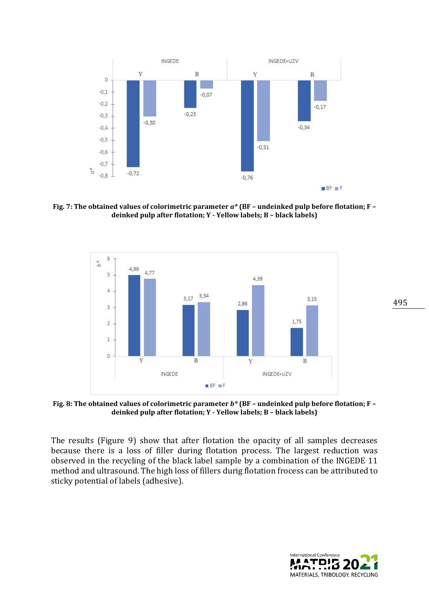

**Fig. 7: The obtained values of colorimetric parameter** *a\** **(BF – undeinked pulp before flotation; F – deinked pulp after flotation; Y - Yellow labels; B – black labels)**



**Fig. 8: The obtained values of colorimetric parameter** *b\** **(BF – undeinked pulp before flotation; F – deinked pulp after flotation; Y - Yellow labels; B – black labels)**

The results (Figure 9) show that after flotation the opacity of all samples decreases because there is a loss of filler during flotation process. The largest reduction was observed in the recycling of the black label sample by a combination of the INGEDE 11 method and ultrasound. The high loss of fillers durig flotation frocess can be attributed to sticky potential of labels (adhesive).

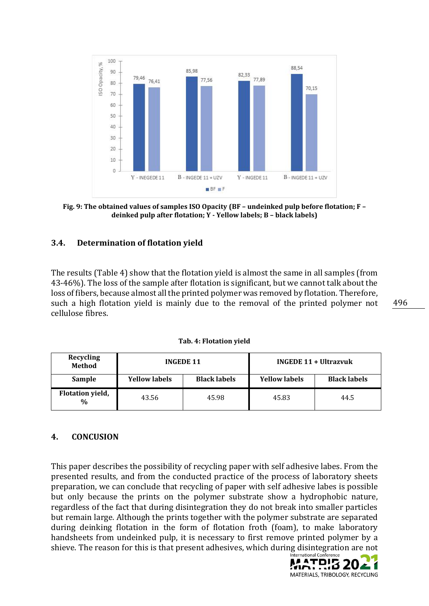

**Fig. 9: The obtained values of samples ISO Opacity (BF – undeinked pulp before flotation; F – deinked pulp after flotation; Y - Yellow labels; B – black labels)**

### **3.4. Determination of flotation yield**

The results (Table 4) show that the flotation yield is almost the same in all samples (from 43-46%). The loss of the sample after flotation is significant, but we cannot talk about the loss of fibers, because almost all the printed polymer was removed by flotation. Therefore, such a high flotation yield is mainly due to the removal of the printed polymer not cellulose fibres.

**Tab. 4: Flotation yield**

| Recycling<br><b>Method</b>               | <b>INGEDE 11</b>     |                     | INGEDE 11 + Ultrazvuk |                     |
|------------------------------------------|----------------------|---------------------|-----------------------|---------------------|
| Sample                                   | <b>Yellow labels</b> | <b>Black labels</b> | <b>Yellow labels</b>  | <b>Black labels</b> |
| <b>Flotation yield,</b><br>$\frac{0}{0}$ | 43.56                | 45.98               | 45.83                 | 44.5                |

### **4. CONCUSION**

This paper describes the possibility of recycling paper with self adhesive labes. From the presented results, and from the conducted practice of the process of laboratory sheets preparation, we can conclude that recycling of paper with self adhesive labes is possible but only because the prints on the polymer substrate show a hydrophobic nature, regardless of the fact that during disintegration they do not break into smaller particles but remain large. Although the prints together with the polymer substrate are separated during deinking flotation in the form of flotation froth (foam), to make laboratory handsheets from undeinked pulp, it is necessary to first remove printed polymer by a shieve. The reason for this is that present adhesives, which during disintegration are not

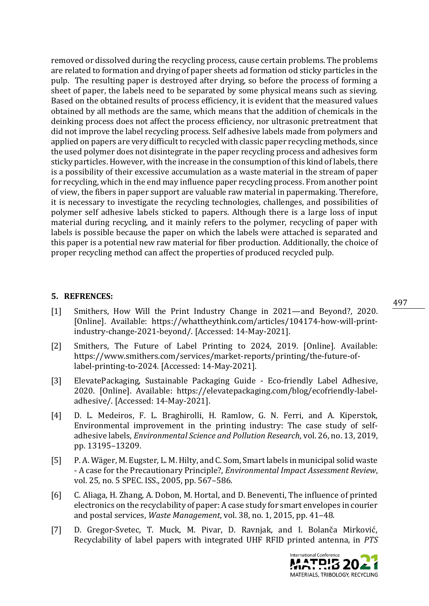removed or dissolved during the recycling process, cause certain problems. The problems are related to formation and drying of paper sheets ad formation od sticky particles in the pulp. The resulting paper is destroyed after drying, so before the process of forming a sheet of paper, the labels need to be separated by some physical means such as sieving. Based on the obtained results of process efficiency, it is evident that the measured values obtained by all methods are the same, which means that the addition of chemicals in the deinking process does not affect the process efficiency, nor ultrasonic pretreatment that did not improve the label recycling process. Self adhesive labels made from polymers and applied on papers are very difficult to recycled with classic paper recycling methods, since the used polymer does not disintegrate in the paper recycling process and adhesives form sticky particles. However, with the increase in the consumption of this kind of labels, there is a possibility of their excessive accumulation as a waste material in the stream of paper for recycling, which in the end may influence paper recycling process. From another point of view, the fibers in paper support are valuable raw material in papermaking. Therefore, it is necessary to investigate the recycling technologies, challenges, and possibilities of polymer self adhesive labels sticked to papers. Although there is a large loss of input material during recycling, and it mainly refers to the polymer, recycling of paper with labels is possible because the paper on which the labels were attached is separated and this paper is a potential new raw material for fiber production. Additionally, the choice of proper recycling method can affect the properties of produced recycled pulp.

### **5. REFRENCES:**

- [1] Smithers, How Will the Print Industry Change in 2021—and Beyond?, 2020. [Online]. Available: https://whattheythink.com/articles/104174-how-will-printindustry-change-2021-beyond/. [Accessed: 14-May-2021].
- [2] Smithers, The Future of Label Printing to 2024, 2019. [Online]. Available: https://www.smithers.com/services/market-reports/printing/the-future-oflabel-printing-to-2024. [Accessed: 14-May-2021].
- [3] ElevatePackaging, Sustainable Packaging Guide Eco-friendly Label Adhesive, 2020. [Online]. Available: https://elevatepackaging.com/blog/ecofriendly-labeladhesive/. [Accessed: 14-May-2021].
- [4] D. L. Medeiros, F. L. Braghirolli, H. Ramlow, G. N. Ferri, and A. Kiperstok, Environmental improvement in the printing industry: The case study of selfadhesive labels, *Environmental Science and Pollution Research*, vol. 26, no. 13, 2019, pp. 13195–13209.
- [5] P. A. Wäger, M. Eugster, L. M. Hilty, and C. Som, Smart labels in municipal solid waste - A case for the Precautionary Principle?, *Environmental Impact Assessment Review*, vol. 25, no. 5 SPEC. ISS., 2005, pp. 567–586.
- [6] C. Aliaga, H. Zhang, A. Dobon, M. Hortal, and D. Beneventi, The influence of printed electronics on the recyclability of paper: A case study for smart envelopes in courier and postal services, *Waste Management*, vol. 38, no. 1, 2015, pp. 41–48.
- [7] D. Gregor-Svetec, T. Muck, M. Pivar, D. Ravnjak, and I. Bolanča Mirković, Recyclability of label papers with integrated UHF RFID printed antenna, in *PTS*